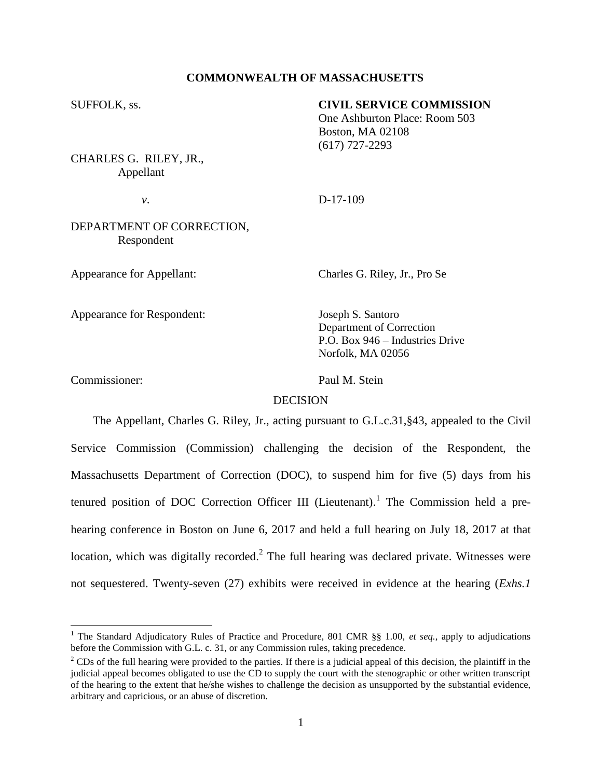## **COMMONWEALTH OF MASSACHUSETTS**

#### SUFFOLK, ss. **CIVIL SERVICE COMMISSION**

One Ashburton Place: Room 503 Boston, MA 02108 (617) 727-2293

CHARLES G. RILEY, JR., Appellant

*v*. D-17-109

## DEPARTMENT OF CORRECTION, Respondent

Appearance for Appellant: Charles G. Riley, Jr., Pro Se

Appearance for Respondent: Joseph S. Santoro

Department of Correction P.O. Box 946 – Industries Drive Norfolk, MA 02056

 $\overline{a}$ 

Commissioner: Paul M. Stein

### DECISION

The Appellant, Charles G. Riley, Jr., acting pursuant to G.L.c.31,§43, appealed to the Civil Service Commission (Commission) challenging the decision of the Respondent, the Massachusetts Department of Correction (DOC), to suspend him for five (5) days from his tenured position of DOC Correction Officer III (Lieutenant).<sup>1</sup> The Commission held a prehearing conference in Boston on June 6, 2017 and held a full hearing on July 18, 2017 at that location, which was digitally recorded.<sup>2</sup> The full hearing was declared private. Witnesses were not sequestered. Twenty-seven (27) exhibits were received in evidence at the hearing (*Exhs.1* 

<sup>1</sup> The Standard Adjudicatory Rules of Practice and Procedure, 801 CMR §§ 1.00, *et seq.*, apply to adjudications before the Commission with G.L. c. 31, or any Commission rules, taking precedence.

 $2^2$  CDs of the full hearing were provided to the parties. If there is a judicial appeal of this decision, the plaintiff in the judicial appeal becomes obligated to use the CD to supply the court with the stenographic or other written transcript of the hearing to the extent that he/she wishes to challenge the decision as unsupported by the substantial evidence, arbitrary and capricious, or an abuse of discretion.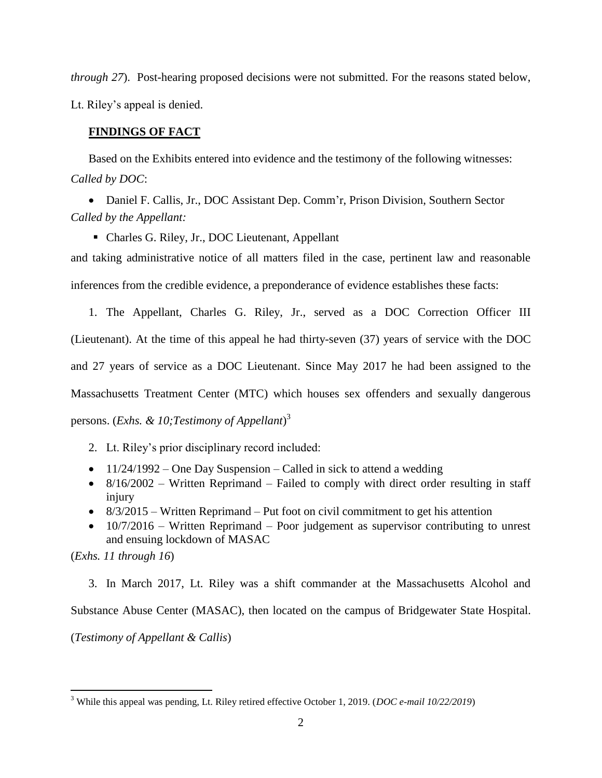*through 27*). Post-hearing proposed decisions were not submitted. For the reasons stated below, Lt. Riley's appeal is denied.

### **FINDINGS OF FACT**

Based on the Exhibits entered into evidence and the testimony of the following witnesses: *Called by DOC*:

 Daniel F. Callis, Jr., DOC Assistant Dep. Comm'r, Prison Division, Southern Sector *Called by the Appellant:*

Charles G. Riley, Jr., DOC Lieutenant, Appellant

and taking administrative notice of all matters filed in the case, pertinent law and reasonable inferences from the credible evidence, a preponderance of evidence establishes these facts:

1. The Appellant, Charles G. Riley, Jr., served as a DOC Correction Officer III (Lieutenant). At the time of this appeal he had thirty-seven (37) years of service with the DOC and 27 years of service as a DOC Lieutenant. Since May 2017 he had been assigned to the Massachusetts Treatment Center (MTC) which houses sex offenders and sexually dangerous persons. (*Exhs. & 10;Testimony of Appellant*) 3

- 2. Lt. Riley's prior disciplinary record included:
- $\bullet$  11/24/1992 One Day Suspension Called in sick to attend a wedding
- $\bullet$  8/16/2002 Written Reprimand Failed to comply with direct order resulting in staff injury
- $\bullet$  8/3/2015 Written Reprimand Put foot on civil commitment to get his attention
- $\bullet$  10/7/2016 Written Reprimand Poor judgement as supervisor contributing to unrest and ensuing lockdown of MASAC

(*Exhs. 11 through 16*)

 $\overline{a}$ 

3. In March 2017, Lt. Riley was a shift commander at the Massachusetts Alcohol and Substance Abuse Center (MASAC), then located on the campus of Bridgewater State Hospital.

(*Testimony of Appellant & Callis*)

<sup>3</sup> While this appeal was pending, Lt. Riley retired effective October 1, 2019. (*DOC e-mail 10/22/2019*)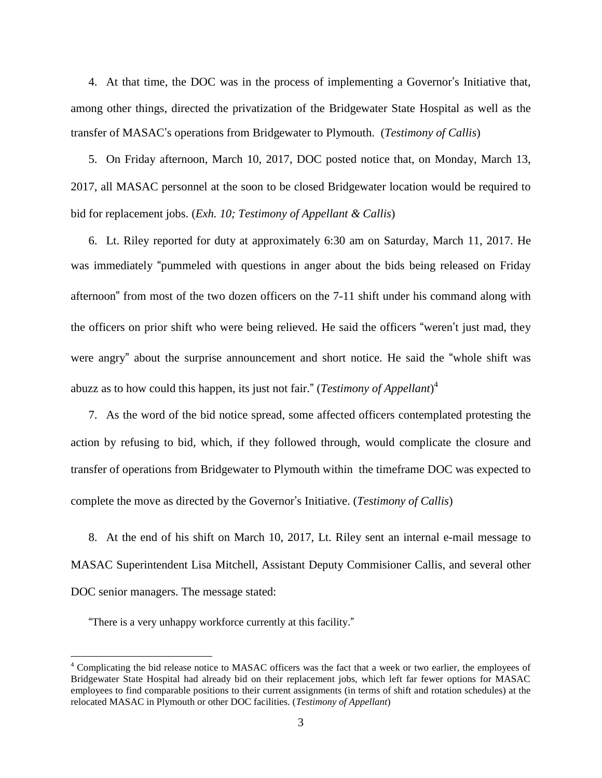4. At that time, the DOC was in the process of implementing a Governor's Initiative that, among other things, directed the privatization of the Bridgewater State Hospital as well as the transfer of MASAC's operations from Bridgewater to Plymouth. (*Testimony of Callis*)

5. On Friday afternoon, March 10, 2017, DOC posted notice that, on Monday, March 13, 2017, all MASAC personnel at the soon to be closed Bridgewater location would be required to bid for replacement jobs. (*Exh. 10; Testimony of Appellant & Callis*)

6. Lt. Riley reported for duty at approximately 6:30 am on Saturday, March 11, 2017. He was immediately "pummeled with questions in anger about the bids being released on Friday afternoon" from most of the two dozen officers on the 7-11 shift under his command along with the officers on prior shift who were being relieved. He said the officers "weren't just mad, they were angry" about the surprise announcement and short notice. He said the "whole shift was abuzz as to how could this happen, its just not fair." (*Testimony of Appellant*) 4

7. As the word of the bid notice spread, some affected officers contemplated protesting the action by refusing to bid, which, if they followed through, would complicate the closure and transfer of operations from Bridgewater to Plymouth within the timeframe DOC was expected to complete the move as directed by the Governor's Initiative. (*Testimony of Callis*)

8. At the end of his shift on March 10, 2017, Lt. Riley sent an internal e-mail message to MASAC Superintendent Lisa Mitchell, Assistant Deputy Commisioner Callis, and several other DOC senior managers. The message stated:

"There is a very unhappy workforce currently at this facility."

 $\overline{a}$ 

<sup>&</sup>lt;sup>4</sup> Complicating the bid release notice to MASAC officers was the fact that a week or two earlier, the employees of Bridgewater State Hospital had already bid on their replacement jobs, which left far fewer options for MASAC employees to find comparable positions to their current assignments (in terms of shift and rotation schedules) at the relocated MASAC in Plymouth or other DOC facilities. (*Testimony of Appellant*)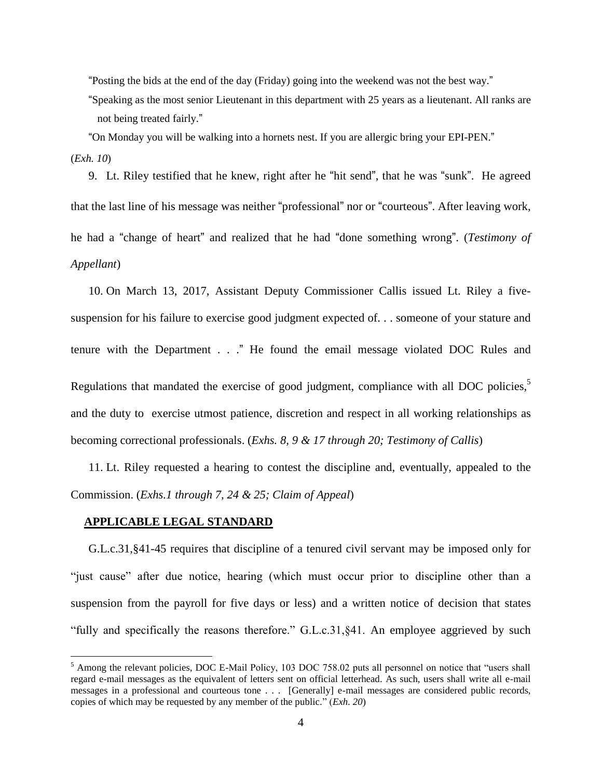"Posting the bids at the end of the day (Friday) going into the weekend was not the best way."

"Speaking as the most senior Lieutenant in this department with 25 years as a lieutenant. All ranks are not being treated fairly."

"On Monday you will be walking into a hornets nest. If you are allergic bring your EPI-PEN."

(*Exh. 10*)

 $\overline{a}$ 

9. Lt. Riley testified that he knew, right after he "hit send", that he was "sunk". He agreed that the last line of his message was neither "professional" nor or "courteous". After leaving work, he had a "change of heart" and realized that he had "done something wrong". (*Testimony of Appellant*)

10. On March 13, 2017, Assistant Deputy Commissioner Callis issued Lt. Riley a fivesuspension for his failure to exercise good judgment expected of. . . someone of your stature and tenure with the Department . . ." He found the email message violated DOC Rules and Regulations that mandated the exercise of good judgment, compliance with all DOC policies, $5$ and the duty to exercise utmost patience, discretion and respect in all working relationships as becoming correctional professionals. (*Exhs. 8, 9 & 17 through 20; Testimony of Callis*)

11. Lt. Riley requested a hearing to contest the discipline and, eventually, appealed to the Commission. (*Exhs.1 through 7, 24 & 25; Claim of Appeal*)

# **APPLICABLE LEGAL STANDARD**

G.L.c.31,§41-45 requires that discipline of a tenured civil servant may be imposed only for "just cause" after due notice, hearing (which must occur prior to discipline other than a suspension from the payroll for five days or less) and a written notice of decision that states "fully and specifically the reasons therefore." G.L.c.31,§41. An employee aggrieved by such

<sup>&</sup>lt;sup>5</sup> Among the relevant policies, DOC E-Mail Policy, 103 DOC 758.02 puts all personnel on notice that "users shall regard e-mail messages as the equivalent of letters sent on official letterhead. As such, users shall write all e-mail messages in a professional and courteous tone . . . [Generally] e-mail messages are considered public records, copies of which may be requested by any member of the public." (*Exh. 20*)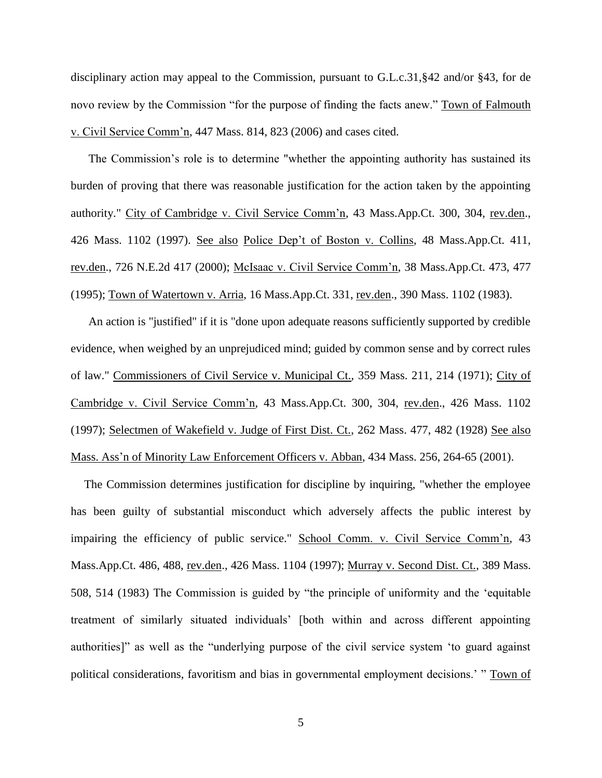disciplinary action may appeal to the Commission, pursuant to G.L.c.31,§42 and/or §43, for de novo review by the Commission "for the purpose of finding the facts anew." Town of Falmouth v. Civil Service Comm'n, 447 Mass. 814, 823 (2006) and cases cited.

The Commission's role is to determine "whether the appointing authority has sustained its burden of proving that there was reasonable justification for the action taken by the appointing authority." City of Cambridge v. Civil Service Comm'n, 43 Mass.App.Ct. 300, 304, rev.den., 426 Mass. 1102 (1997). See also Police Dep't of Boston v. Collins, 48 Mass.App.Ct. 411, rev.den., 726 N.E.2d 417 (2000); McIsaac v. Civil Service Comm'n, 38 Mass.App.Ct. 473, 477 (1995); Town of Watertown v. Arria, 16 Mass.App.Ct. 331, rev.den., 390 Mass. 1102 (1983).

An action is "justified" if it is "done upon adequate reasons sufficiently supported by credible evidence, when weighed by an unprejudiced mind; guided by common sense and by correct rules of law." Commissioners of Civil Service v. Municipal Ct., 359 Mass. 211, 214 (1971); City of Cambridge v. Civil Service Comm'n, 43 Mass.App.Ct. 300, 304, rev.den., 426 Mass. 1102 (1997); Selectmen of Wakefield v. Judge of First Dist. Ct., 262 Mass. 477, 482 (1928) See also Mass. Ass'n of Minority Law Enforcement Officers v. Abban, 434 Mass. 256, 264-65 (2001).

The Commission determines justification for discipline by inquiring, "whether the employee has been guilty of substantial misconduct which adversely affects the public interest by impairing the efficiency of public service." School Comm. v. Civil Service Comm'n, 43 Mass.App.Ct. 486, 488, rev.den., 426 Mass. 1104 (1997); Murray v. Second Dist. Ct., 389 Mass. 508, 514 (1983) The Commission is guided by "the principle of uniformity and the 'equitable treatment of similarly situated individuals' [both within and across different appointing authorities]" as well as the "underlying purpose of the civil service system 'to guard against political considerations, favoritism and bias in governmental employment decisions.' " Town of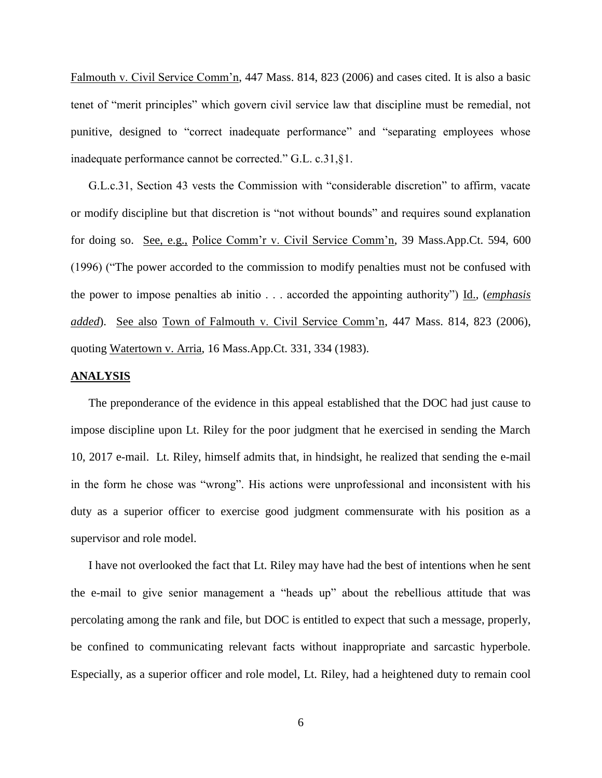Falmouth v. Civil Service Comm'n, 447 Mass. 814, 823 (2006) and cases cited. It is also a basic tenet of "merit principles" which govern civil service law that discipline must be remedial, not punitive, designed to "correct inadequate performance" and "separating employees whose inadequate performance cannot be corrected." G.L. c.31,§1.

G.L.c.31, Section 43 vests the Commission with "considerable discretion" to affirm, vacate or modify discipline but that discretion is "not without bounds" and requires sound explanation for doing so. See, e.g., Police Comm'r v. Civil Service Comm'n, 39 Mass.App.Ct. 594, 600 (1996) ("The power accorded to the commission to modify penalties must not be confused with the power to impose penalties ab initio . . . accorded the appointing authority") Id., (*emphasis added*). See also Town of Falmouth v. Civil Service Comm'n, 447 Mass. 814, 823 (2006), quoting Watertown v. Arria, 16 Mass.App.Ct. 331, 334 (1983).

#### **ANALYSIS**

The preponderance of the evidence in this appeal established that the DOC had just cause to impose discipline upon Lt. Riley for the poor judgment that he exercised in sending the March 10, 2017 e-mail. Lt. Riley, himself admits that, in hindsight, he realized that sending the e-mail in the form he chose was "wrong". His actions were unprofessional and inconsistent with his duty as a superior officer to exercise good judgment commensurate with his position as a supervisor and role model.

I have not overlooked the fact that Lt. Riley may have had the best of intentions when he sent the e-mail to give senior management a "heads up" about the rebellious attitude that was percolating among the rank and file, but DOC is entitled to expect that such a message, properly, be confined to communicating relevant facts without inappropriate and sarcastic hyperbole. Especially, as a superior officer and role model, Lt. Riley, had a heightened duty to remain cool